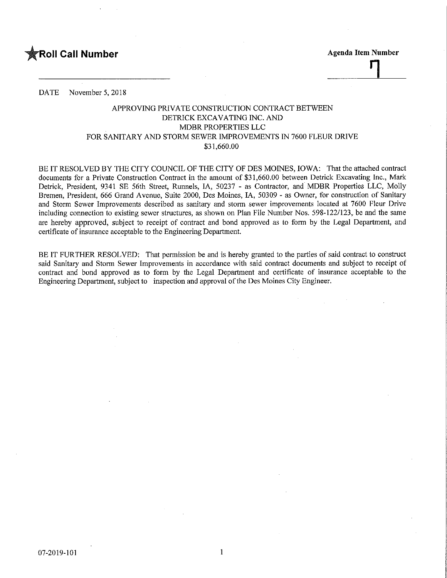

DATE November 5, 2018

## APPROVING PRIVATE CONSTRUCTION CONTRACT BETWEEN DETRICK EXCAVATING INC. AND MDBR PROPERTIES LLC FOR SANITARY AND STORM SEWER IMPROVEMENTS IN 7600 FLEUR DRIVE \$31,660.00

BE IT RESOLVED BY THE CITY COUNCIL OF THE CITY OF DES MOINES, IOWA: That the attached contract documents for a Private Construction Contract in the amount of \$31,660.00 between Detrick Excavating Inc., Mark Detrick, President, 9341 SE 56th Street, Runnels, IA, 50237 - as Contractor, and MDBR Properties LLC, Molly Bremen, President, 666 Grand Avenue, Suite 2000, Des Moines, IA, 50309 - as Owner, for construction of Sanitary and Storm Sewer Improvements described as sanitary and storm sewer improvements located at 7600 Fleur Drive including connection to existing sewer structures, as shown on Plan File Number Nos. 598-122/123, be and the same are hereby approved, subject to receipt of contract and bond approved as to form by the Legal Department, and certificate of insurance acceptable to the Engineering Department.

BE IT FURTHER RESOLVED: That permission be and is hereby granted to the parties of said contract to construct said Sanitary and Storm Sewer Improvements in accordance with said contract documents and subject to receipt of contract and bond approved as to form by the Legal Department and certificate of insurance acceptable to the Engineering Department, subject to inspection and approval of the Des Moines City Engineer.

 $\mathbf{1}$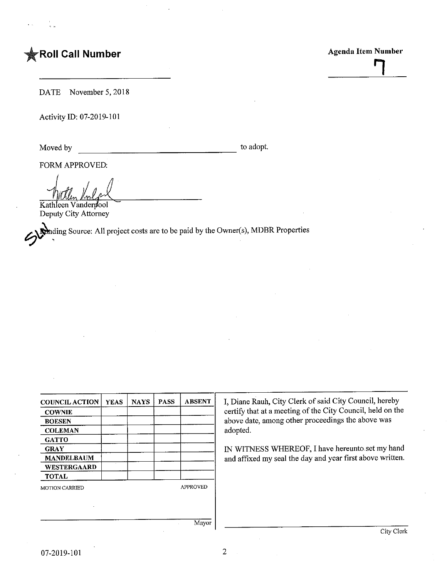## **FROII Call Number** Agenda Item Number

DATE November 5,2018

Activity ID: 07-2019-101

Moved by to adopt.

FORM APPROVED:

Kathleen Vanderj/ool Deputy City Attorney

JA <sup>1</sup>ding Source; All project costs are to be paid by the Owner(s), MDBR Properties

| <b>COUNCIL ACTION</b> | <b>YEAS</b> | <b>NAYS</b> | <b>PASS</b>     | <b>ABSENT</b> |
|-----------------------|-------------|-------------|-----------------|---------------|
| <b>COWNIE</b>         |             |             |                 |               |
| <b>BOESEN</b>         |             |             |                 |               |
| <b>COLEMAN</b>        |             |             |                 |               |
| <b>GATTO</b>          |             |             |                 |               |
| <b>GRAY</b>           |             |             |                 |               |
| <b>MANDELBAUM</b>     |             |             |                 |               |
| WESTERGAARD           |             |             |                 |               |
| <b>TOTAL</b>          |             |             |                 |               |
| <b>MOTION CARRIED</b> |             |             | <b>APPROVED</b> |               |
|                       |             |             |                 |               |
|                       |             |             |                 |               |

I, Diane Rauh, City Clerk of said City Council, hereby certify that at a meeting of the City Council, held on the above date, among other proceedings the above was adopted.

IN WITNESS WHEREOF, I have hereunto set my hand and affixed my seal the day and year first above written.

Mayor